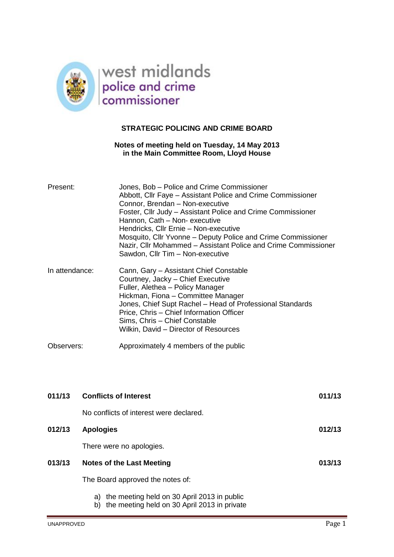

# **STRATEGIC POLICING AND CRIME BOARD**

## **Notes of meeting held on Tuesday, 14 May 2013 in the Main Committee Room, Lloyd House**

| Present:       | Jones, Bob - Police and Crime Commissioner<br>Abbott, Cllr Faye - Assistant Police and Crime Commissioner<br>Connor, Brendan - Non-executive<br>Foster, Cllr Judy – Assistant Police and Crime Commissioner<br>Hannon, Cath - Non- executive<br>Hendricks, Cllr Ernie - Non-executive<br>Mosquito, Cllr Yvonne – Deputy Police and Crime Commissioner<br>Nazir, Cllr Mohammed - Assistant Police and Crime Commissioner<br>Sawdon, Cllr Tim - Non-executive |
|----------------|-------------------------------------------------------------------------------------------------------------------------------------------------------------------------------------------------------------------------------------------------------------------------------------------------------------------------------------------------------------------------------------------------------------------------------------------------------------|
| In attendance: | Cann, Gary - Assistant Chief Constable<br>Courtney, Jacky - Chief Executive<br>Fuller, Alethea - Policy Manager<br>Hickman, Fiona - Committee Manager<br>Jones, Chief Supt Rachel - Head of Professional Standards<br>Price, Chris - Chief Information Officer<br>Sims, Chris - Chief Constable<br>Wilkin, David - Director of Resources                                                                                                                    |
| Observers:     | Approximately 4 members of the public                                                                                                                                                                                                                                                                                                                                                                                                                       |

| 011/13 | <b>Conflicts of Interest</b>                   | 011/13 |
|--------|------------------------------------------------|--------|
|        | No conflicts of interest were declared.        |        |
| 012/13 | <b>Apologies</b>                               | 012/13 |
|        | There were no apologies.                       |        |
| 013/13 | Notes of the Last Meeting                      | 013/13 |
|        | The Board approved the notes of:               |        |
|        | a) the meeting held on 30 April 2013 in public |        |

b) the meeting held on 30 April 2013 in private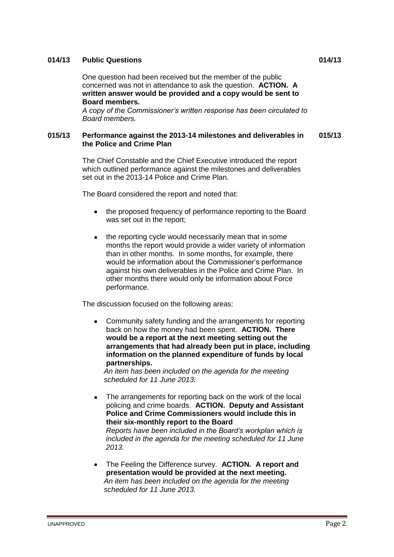## **014/13 Public Questions 014/13**

One question had been received but the member of the public concerned was not in attendance to ask the question. **ACTION. A written answer would be provided and a copy would be sent to Board members.**

*A copy of the Commissioner's written response has been circulated to Board members.*

#### **015/13 Performance against the 2013-14 milestones and deliverables in the Police and Crime Plan 015/13**

The Chief Constable and the Chief Executive introduced the report which outlined performance against the milestones and deliverables set out in the 2013-14 Police and Crime Plan.

The Board considered the report and noted that:

- the proposed frequency of performance reporting to the Board was set out in the report;
- the reporting cycle would necessarily mean that in some months the report would provide a wider variety of information than in other months. In some months, for example, there would be information about the Commissioner's performance against his own deliverables in the Police and Crime Plan. In other months there would only be information about Force performance.

The discussion focused on the following areas:

Community safety funding and the arrangements for reporting back on how the money had been spent. **ACTION. There would be a report at the next meeting setting out the arrangements that had already been put in place, including information on the planned expenditure of funds by local partnerships.** 

*An item has been included on the agenda for the meeting scheduled for 11 June 2013.* 

The arrangements for reporting back on the work of the local policing and crime boards. **ACTION. Deputy and Assistant Police and Crime Commissioners would include this in their six-monthly report to the Board**  *Reports have been included in the Board's workplan which is included in the agenda for the meeting scheduled for 11 June* 

*2013.*

The Feeling the Difference survey. **ACTION. A report and**   $\bullet$ **presentation would be provided at the next meeting.** *An item has been included on the agenda for the meeting scheduled for 11 June 2013.*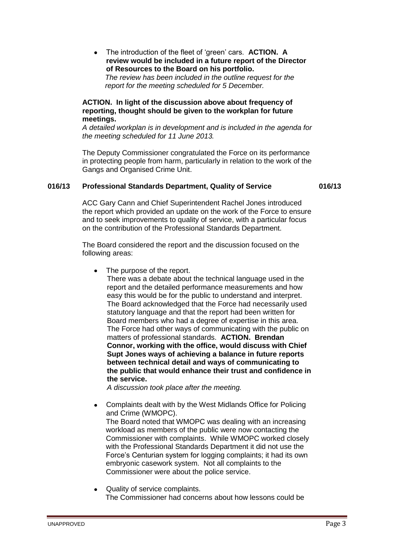The introduction of the fleet of 'green' cars. **ACTION. A**   $\bullet$ **review would be included in a future report of the Director of Resources to the Board on his portfolio.** *The review has been included in the outline request for the report for the meeting scheduled for 5 December.*

### **ACTION. In light of the discussion above about frequency of reporting, thought should be given to the workplan for future meetings.**

*A detailed workplan is in development and is included in the agenda for the meeting scheduled for 11 June 2013.*

The Deputy Commissioner congratulated the Force on its performance in protecting people from harm, particularly in relation to the work of the Gangs and Organised Crime Unit.

## **016/13 Professional Standards Department, Quality of Service 016/13**

ACC Gary Cann and Chief Superintendent Rachel Jones introduced the report which provided an update on the work of the Force to ensure and to seek improvements to quality of service, with a particular focus on the contribution of the Professional Standards Department.

The Board considered the report and the discussion focused on the following areas:

 $\bullet$ The purpose of the report.

There was a debate about the technical language used in the report and the detailed performance measurements and how easy this would be for the public to understand and interpret. The Board acknowledged that the Force had necessarily used statutory language and that the report had been written for Board members who had a degree of expertise in this area. The Force had other ways of communicating with the public on matters of professional standards. **ACTION. Brendan Connor, working with the office, would discuss with Chief Supt Jones ways of achieving a balance in future reports between technical detail and ways of communicating to the public that would enhance their trust and confidence in the service.**

*A discussion took place after the meeting.*

- Complaints dealt with by the West Midlands Office for Policing  $\bullet$ and Crime (WMOPC). The Board noted that WMOPC was dealing with an increasing workload as members of the public were now contacting the Commissioner with complaints. While WMOPC worked closely with the Professional Standards Department it did not use the Force's Centurian system for logging complaints; it had its own embryonic casework system. Not all complaints to the Commissioner were about the police service.
- Quality of service complaints. The Commissioner had concerns about how lessons could be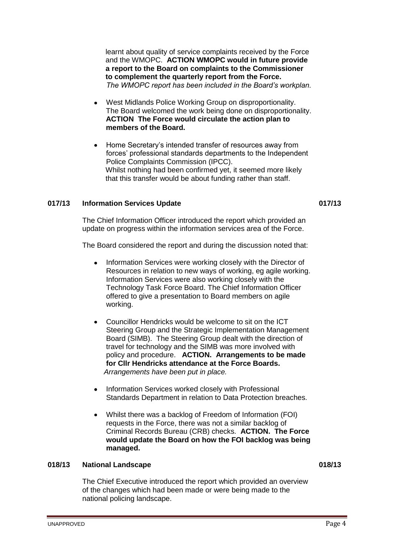learnt about quality of service complaints received by the Force and the WMOPC. **ACTION WMOPC would in future provide a report to the Board on complaints to the Commissioner to complement the quarterly report from the Force.** *The WMOPC report has been included in the Board's workplan.*

- West Midlands Police Working Group on disproportionality. The Board welcomed the work being done on disproportionality. **ACTION The Force would circulate the action plan to members of the Board.**
- Home Secretary's intended transfer of resources away from forces' professional standards departments to the Independent Police Complaints Commission (IPCC). Whilst nothing had been confirmed yet, it seemed more likely that this transfer would be about funding rather than staff.

## **017/13 Information Services Update 017/13**

The Chief Information Officer introduced the report which provided an update on progress within the information services area of the Force.

The Board considered the report and during the discussion noted that:

- Information Services were working closely with the Director of Resources in relation to new ways of working, eg agile working. Information Services were also working closely with the Technology Task Force Board. The Chief Information Officer offered to give a presentation to Board members on agile working.
- Councillor Hendricks would be welcome to sit on the ICT Steering Group and the Strategic Implementation Management Board (SIMB). The Steering Group dealt with the direction of travel for technology and the SIMB was more involved with policy and procedure. **ACTION. Arrangements to be made for Cllr Hendricks attendance at the Force Boards.**  *Arrangements have been put in place.*
- Information Services worked closely with Professional Standards Department in relation to Data Protection breaches.
- Whilst there was a backlog of Freedom of Information (FOI) requests in the Force, there was not a similar backlog of Criminal Records Bureau (CRB) checks. **ACTION. The Force would update the Board on how the FOI backlog was being managed.**

## **018/13 National Landscape 018/13**

The Chief Executive introduced the report which provided an overview of the changes which had been made or were being made to the national policing landscape.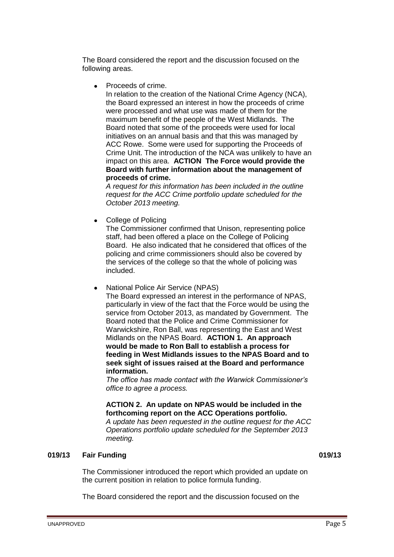The Board considered the report and the discussion focused on the following areas.

Proceeds of crime.  $\blacksquare$ 

In relation to the creation of the National Crime Agency (NCA), the Board expressed an interest in how the proceeds of crime were processed and what use was made of them for the maximum benefit of the people of the West Midlands. The Board noted that some of the proceeds were used for local initiatives on an annual basis and that this was managed by ACC Rowe. Some were used for supporting the Proceeds of Crime Unit. The introduction of the NCA was unlikely to have an impact on this area. **ACTION The Force would provide the Board with further information about the management of proceeds of crime.**

*A request for this information has been included in the outline request for the ACC Crime portfolio update scheduled for the October 2013 meeting.*

• College of Policing

The Commissioner confirmed that Unison, representing police staff, had been offered a place on the College of Policing Board. He also indicated that he considered that offices of the policing and crime commissioners should also be covered by the services of the college so that the whole of policing was included.

National Police Air Service (NPAS)

The Board expressed an interest in the performance of NPAS, particularly in view of the fact that the Force would be using the service from October 2013, as mandated by Government. The Board noted that the Police and Crime Commissioner for Warwickshire, Ron Ball, was representing the East and West Midlands on the NPAS Board. **ACTION 1. An approach would be made to Ron Ball to establish a process for feeding in West Midlands issues to the NPAS Board and to seek sight of issues raised at the Board and performance information.**

*The office has made contact with the Warwick Commissioner's office to agree a process.*

**ACTION 2. An update on NPAS would be included in the forthcoming report on the ACC Operations portfolio.** *A update has been requested in the outline request for the ACC Operations portfolio update scheduled for the September 2013 meeting.*

# **019/13 Fair Funding 019/13**

The Commissioner introduced the report which provided an update on the current position in relation to police formula funding.

The Board considered the report and the discussion focused on the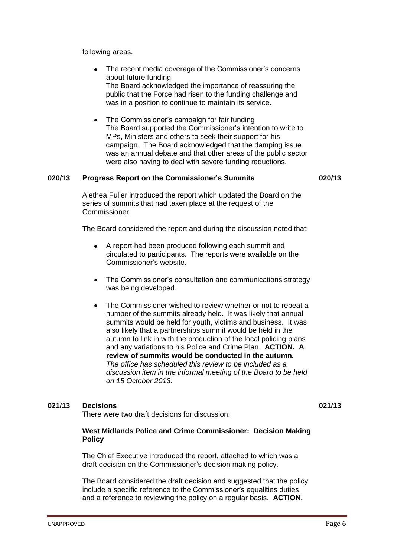following areas.

- The recent media coverage of the Commissioner's concerns about future funding. The Board acknowledged the importance of reassuring the public that the Force had risen to the funding challenge and was in a position to continue to maintain its service.
- The Commissioner's campaign for fair funding The Board supported the Commissioner's intention to write to MPs, Ministers and others to seek their support for his campaign. The Board acknowledged that the damping issue was an annual debate and that other areas of the public sector were also having to deal with severe funding reductions.

## **020/13 Progress Report on the Commissioner's Summits 020/13**

Alethea Fuller introduced the report which updated the Board on the series of summits that had taken place at the request of the Commissioner.

The Board considered the report and during the discussion noted that:

- A report had been produced following each summit and circulated to participants. The reports were available on the Commissioner's website.
- The Commissioner's consultation and communications strategy  $\bullet$ was being developed.
- The Commissioner wished to review whether or not to repeat a  $\bullet$ number of the summits already held. It was likely that annual summits would be held for youth, victims and business. It was also likely that a partnerships summit would be held in the autumn to link in with the production of the local policing plans and any variations to his Police and Crime Plan. **ACTION. A review of summits would be conducted in the autumn.** *The office has scheduled this review to be included as a discussion item in the informal meeting of the Board to be held on 15 October 2013.*

# **021/13 Decisions 021/13**

#### There were two draft decisions for discussion:

## **West Midlands Police and Crime Commissioner: Decision Making Policy**

The Chief Executive introduced the report, attached to which was a draft decision on the Commissioner's decision making policy.

The Board considered the draft decision and suggested that the policy include a specific reference to the Commissioner's equalities duties and a reference to reviewing the policy on a regular basis. **ACTION.**